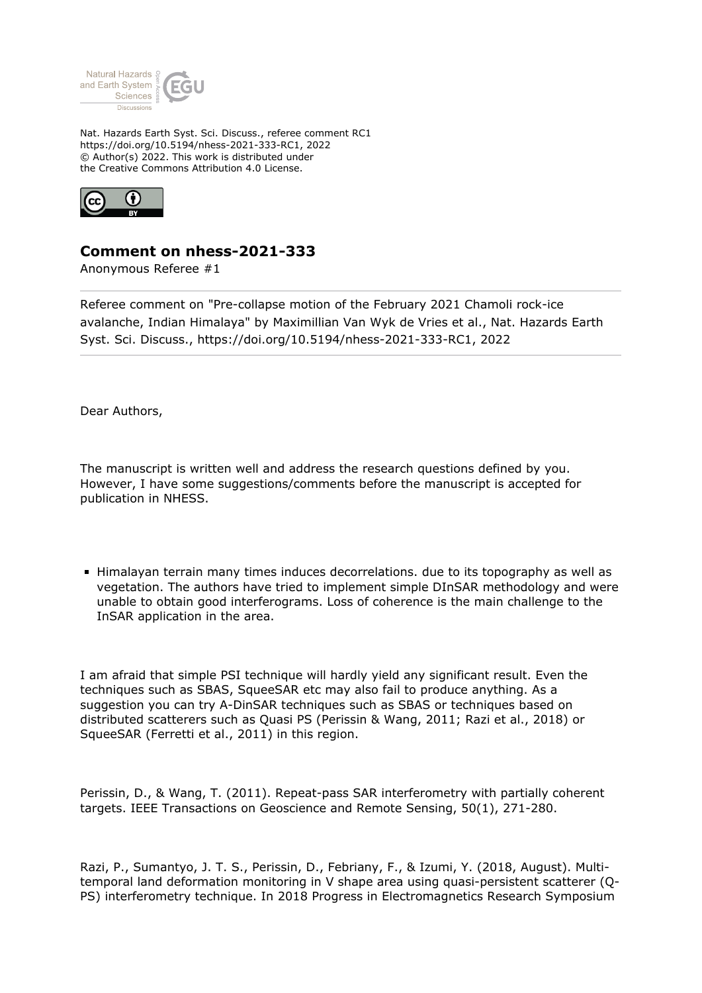

Nat. Hazards Earth Syst. Sci. Discuss., referee comment RC1 https://doi.org/10.5194/nhess-2021-333-RC1, 2022 © Author(s) 2022. This work is distributed under the Creative Commons Attribution 4.0 License.



## **Comment on nhess-2021-333**

Anonymous Referee #1

Referee comment on "Pre-collapse motion of the February 2021 Chamoli rock-ice avalanche, Indian Himalaya" by Maximillian Van Wyk de Vries et al., Nat. Hazards Earth Syst. Sci. Discuss., https://doi.org/10.5194/nhess-2021-333-RC1, 2022

Dear Authors,

The manuscript is written well and address the research questions defined by you. However, I have some suggestions/comments before the manuscript is accepted for publication in NHESS.

**Himalayan terrain many times induces decorrelations. due to its topography as well as** vegetation. The authors have tried to implement simple DInSAR methodology and were unable to obtain good interferograms. Loss of coherence is the main challenge to the InSAR application in the area.

I am afraid that simple PSI technique will hardly yield any significant result. Even the techniques such as SBAS, SqueeSAR etc may also fail to produce anything. As a suggestion you can try A-DinSAR techniques such as SBAS or techniques based on distributed scatterers such as Quasi PS (Perissin & Wang, 2011; Razi et al., 2018) or SqueeSAR (Ferretti et al., 2011) in this region.

Perissin, D., & Wang, T. (2011). Repeat-pass SAR interferometry with partially coherent targets. IEEE Transactions on Geoscience and Remote Sensing, 50(1), 271-280.

Razi, P., Sumantyo, J. T. S., Perissin, D., Febriany, F., & Izumi, Y. (2018, August). Multitemporal land deformation monitoring in V shape area using quasi-persistent scatterer (Q-PS) interferometry technique. In 2018 Progress in Electromagnetics Research Symposium